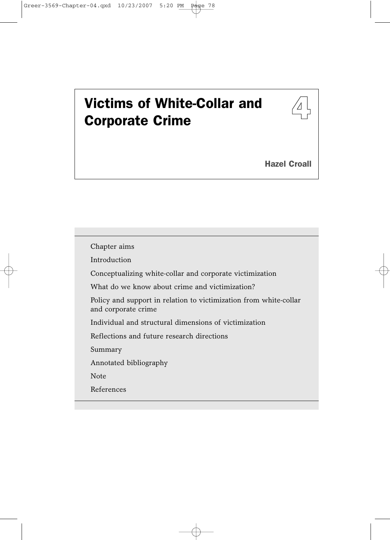# **Victims of White-Collar and Algebra**<br>**Corporate Crime**



Hazel Croall

Chapter aims Introduction Conceptualizing white-collar and corporate victimization What do we know about crime and victimization? Policy and support in relation to victimization from white-collar and corporate crime Individual and structural dimensions of victimization Reflections and future research directions Summary Annotated bibliography Note

References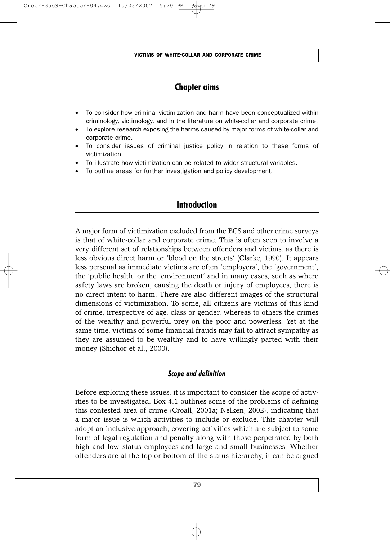# **Chapter aims**

- To consider how criminal victimization and harm have been conceptualized within criminology, victimology, and in the literature on white-collar and corporate crime.
- To explore research exposing the harms caused by major forms of white-collar and corporate crime.
- To consider issues of criminal justice policy in relation to these forms of victimization.
- To illustrate how victimization can be related to wider structural variables.
- To outline areas for further investigation and policy development.

# **Introduction**

A major form of victimization excluded from the BCS and other crime surveys is that of white-collar and corporate crime. This is often seen to involve a very different set of relationships between offenders and victims, as there is less obvious direct harm or 'blood on the streets' (Clarke, 1990). It appears less personal as immediate victims are often 'employers', the 'government', the 'public health' or the 'environment' and in many cases, such as where safety laws are broken, causing the death or injury of employees, there is no direct intent to harm. There are also different images of the structural dimensions of victimization. To some, all citizens are victims of this kind of crime, irrespective of age, class or gender, whereas to others the crimes of the wealthy and powerful prey on the poor and powerless. Yet at the same time, victims of some financial frauds may fail to attract sympathy as they are assumed to be wealthy and to have willingly parted with their money (Shichor et al., 2000).

#### *Scope and definition*

Before exploring these issues, it is important to consider the scope of activities to be investigated. Box 4.1 outlines some of the problems of defining this contested area of crime (Croall, 2001a; Nelken, 2002), indicating that a major issue is which activities to include or exclude. This chapter will adopt an inclusive approach, covering activities which are subject to some form of legal regulation and penalty along with those perpetrated by both high and low status employees and large and small businesses. Whether offenders are at the top or bottom of the status hierarchy, it can be argued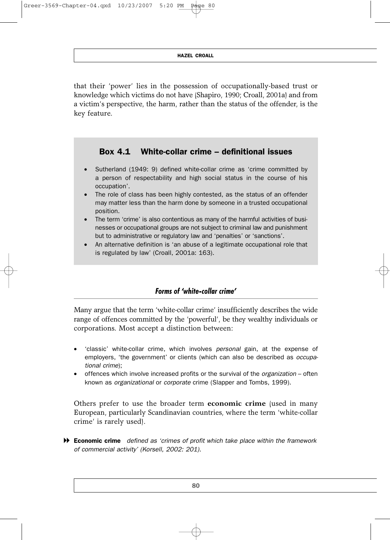that their 'power' lies in the possession of occupationally-based trust or knowledge which victims do not have (Shapiro, 1990; Croall, 2001a) and from a victim's perspective, the harm, rather than the status of the offender, is the key feature.

# Box 4.1 White-collar crime – definitional issues

- Sutherland (1949: 9) defined white-collar crime as 'crime committed by a person of respectability and high social status in the course of his occupation'.
- The role of class has been highly contested, as the status of an offender may matter less than the harm done by someone in a trusted occupational position.
- The term 'crime' is also contentious as many of the harmful activities of businesses or occupational groups are not subject to criminal law and punishment but to administrative or regulatory law and 'penalties' or 'sanctions'.
- An alternative definition is 'an abuse of a legitimate occupational role that is regulated by law' (Croall, 2001a: 163).

# *Forms of 'white-collar crime'*

Many argue that the term 'white-collar crime' insufficiently describes the wide range of offences committed by the 'powerful', be they wealthy individuals or corporations. Most accept a distinction between:

- 'classic' white-collar crime, which involves personal gain, at the expense of employers, 'the government' or clients (which can also be described as *occupa*tional crime);
- offences which involve increased profits or the survival of the *organization* often known as organizational or corporate crime (Slapper and Tombs, 1999).

Others prefer to use the broader term **economic crime** (used in many European, particularly Scandinavian countries, where the term 'white-collar crime' is rarely used).

Economic crime defined as 'crimes of profit which take place within the framework of commercial activity' (Korsell, 2002: 201).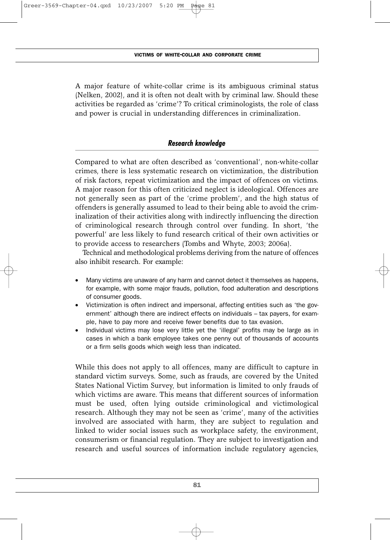A major feature of white-collar crime is its ambiguous criminal status (Nelken, 2002), and it is often not dealt with by criminal law. Should these activities be regarded as 'crime'? To critical criminologists, the role of class and power is crucial in understanding differences in criminalization.

# *Research knowledge*

Compared to what are often described as 'conventional', non-white-collar crimes, there is less systematic research on victimization, the distribution of risk factors, repeat victimization and the impact of offences on victims. A major reason for this often criticized neglect is ideological. Offences are not generally seen as part of the 'crime problem', and the high status of offenders is generally assumed to lead to their being able to avoid the criminalization of their activities along with indirectly influencing the direction of criminological research through control over funding. In short, 'the powerful' are less likely to fund research critical of their own activities or to provide access to researchers (Tombs and Whyte, 2003; 2006a).

Technical and methodological problems deriving from the nature of offences also inhibit research. For example:

- Many victims are unaware of any harm and cannot detect it themselves as happens, for example, with some major frauds, pollution, food adulteration and descriptions of consumer goods.
- Victimization is often indirect and impersonal, affecting entities such as 'the government' although there are indirect effects on individuals – tax payers, for example, have to pay more and receive fewer benefits due to tax evasion.
- Individual victims may lose very little yet the 'illegal' profits may be large as in cases in which a bank employee takes one penny out of thousands of accounts or a firm sells goods which weigh less than indicated.

While this does not apply to all offences, many are difficult to capture in standard victim surveys. Some, such as frauds, are covered by the United States National Victim Survey, but information is limited to only frauds of which victims are aware. This means that different sources of information must be used, often lying outside criminological and victimological research. Although they may not be seen as 'crime', many of the activities involved are associated with harm, they are subject to regulation and linked to wider social issues such as workplace safety, the environment, consumerism or financial regulation. They are subject to investigation and research and useful sources of information include regulatory agencies,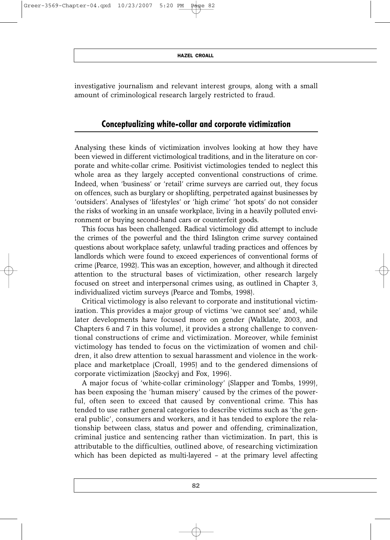investigative journalism and relevant interest groups, along with a small amount of criminological research largely restricted to fraud.

# **Conceptualizing white-collar and corporate victimization**

Analysing these kinds of victimization involves looking at how they have been viewed in different victimological traditions, and in the literature on corporate and white-collar crime. Positivist victimologies tended to neglect this whole area as they largely accepted conventional constructions of crime. Indeed, when 'business' or 'retail' crime surveys are carried out, they focus on offences, such as burglary or shoplifting, perpetrated against businesses by 'outsiders'. Analyses of 'lifestyles' or 'high crime' 'hot spots' do not consider the risks of working in an unsafe workplace, living in a heavily polluted environment or buying second-hand cars or counterfeit goods.

This focus has been challenged. Radical victimology did attempt to include the crimes of the powerful and the third Islington crime survey contained questions about workplace safety, unlawful trading practices and offences by landlords which were found to exceed experiences of conventional forms of crime (Pearce, 1992). This was an exception, however, and although it directed attention to the structural bases of victimization, other research largely focused on street and interpersonal crimes using, as outlined in Chapter 3, individualized victim surveys (Pearce and Tombs, 1998).

Critical victimology is also relevant to corporate and institutional victimization. This provides a major group of victims 'we cannot see' and, while later developments have focused more on gender (Walklate, 2003, and Chapters 6 and 7 in this volume), it provides a strong challenge to conventional constructions of crime and victimization. Moreover, while feminist victimology has tended to focus on the victimization of women and children, it also drew attention to sexual harassment and violence in the workplace and marketplace (Croall, 1995) and to the gendered dimensions of corporate victimization (Szockyj and Fox, 1996).

A major focus of 'white-collar criminology' (Slapper and Tombs, 1999), has been exposing the 'human misery' caused by the crimes of the powerful, often seen to exceed that caused by conventional crime. This has tended to use rather general categories to describe victims such as 'the general public', consumers and workers, and it has tended to explore the relationship between class, status and power and offending, criminalization, criminal justice and sentencing rather than victimization. In part, this is attributable to the difficulties, outlined above, of researching victimization which has been depicted as multi-layered – at the primary level affecting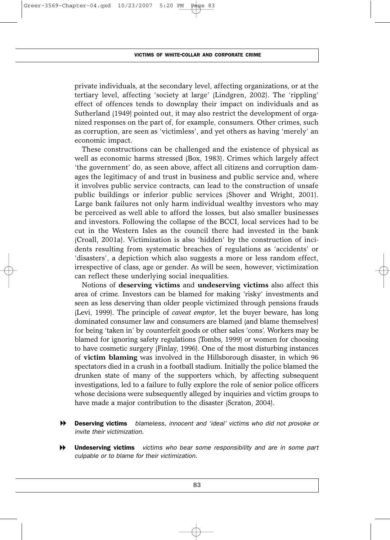private individuals, at the secondary level, affecting organizations, or at the tertiary level, affecting 'society at large' (Lindgren, 2002). The 'rippling' effect of offences tends to downplay their impact on individuals and as Sutherland (1949) pointed out, it may also restrict the development of organized responses on the part of, for example, consumers. Other crimes, such as corruption, are seen as 'victimless', and yet others as having 'merely' an economic impact.

These constructions can be challenged and the existence of physical as well as economic harms stressed (Box, 1983). Crimes which largely affect 'the government' do, as seen above, affect all citizens and corruption damages the legitimacy of and trust in business and public service and, where it involves public service contracts, can lead to the construction of unsafe public buildings or inferior public services (Shover and Wright, 2001). Large bank failures not only harm individual wealthy investors who may be perceived as well able to afford the losses, but also smaller businesses and investors. Following the collapse of the BCCI, local services had to be cut in the Western Isles as the council there had invested in the bank (Croall, 2001a). Victimization is also 'hidden' by the construction of incidents resulting from systematic breaches of regulations as 'accidents' or 'disasters', a depiction which also suggests a more or less random effect, irrespective of class, age or gender. As will be seen, however, victimization can reflect these underlying social inequalities.

Notions of **deserving victims** and **undeserving victims** also affect this area of crime. Investors can be blamed for making 'risky' investments and seen as less deserving than older people victimized through pensions frauds (Levi, 1999). The principle of *caveat emptor*, let the buyer beware, has long dominated consumer law and consumers are blamed (and blame themselves) for being 'taken in' by counterfeit goods or other sales 'cons'. Workers may be blamed for ignoring safety regulations (Tombs, 1999) or women for choosing to have cosmetic surgery (Finlay, 1996). One of the most disturbing instances of **victim blaming** was involved in the Hillsborough disaster, in which 96 spectators died in a crush in a football stadium. Initially the police blamed the drunken state of many of the supporters which, by affecting subsequent investigations, led to a failure to fully explore the role of senior police officers whose decisions were subsequently alleged by inquiries and victim groups to have made a major contribution to the disaster (Scraton, 2004).

- **Deserving victims** blameless, innocent and 'ideal' victims who did not provoke or invite their victimization. ▶▶
- **Undeserving victims** victims who bear some responsibility and are in some part culpable or to blame for their victimization.  $\blacktriangleright$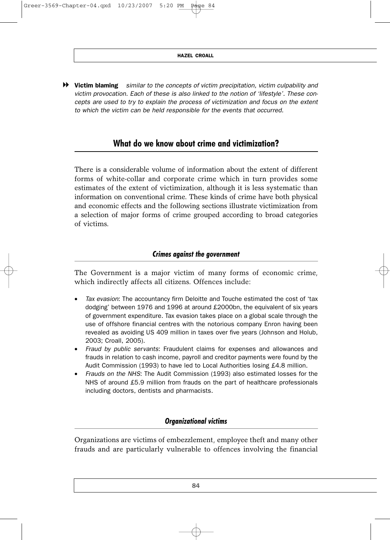Victim blaming similar to the concepts of victim precipitation, victim culpability and victim provocation. Each of these is also linked to the notion of 'lifestyle'. These concepts are used to try to explain the process of victimization and focus on the extent to which the victim can be held responsible for the events that occurred.

# **What do we know about crime and victimization?**

There is a considerable volume of information about the extent of different forms of white-collar and corporate crime which in turn provides some estimates of the extent of victimization, although it is less systematic than information on conventional crime. These kinds of crime have both physical and economic effects and the following sections illustrate victimization from a selection of major forms of crime grouped according to broad categories of victims.

## *Crimes against the government*

The Government is a major victim of many forms of economic crime, which indirectly affects all citizens. Offences include:

- Tax evasion: The accountancy firm Deloitte and Touche estimated the cost of 'tax dodging' between 1976 and 1996 at around £2000bn, the equivalent of six years of government expenditure. Tax evasion takes place on a global scale through the use of offshore financial centres with the notorious company Enron having been revealed as avoiding US 409 million in taxes over five years (Johnson and Holub, 2003; Croall, 2005).
- Fraud by public servants: Fraudulent claims for expenses and allowances and frauds in relation to cash income, payroll and creditor payments were found by the Audit Commission (1993) to have led to Local Authorities losing £4.8 million.
- Frauds on the NHS: The Audit Commission (1993) also estimated losses for the NHS of around £5.9 million from frauds on the part of healthcare professionals including doctors, dentists and pharmacists.

## *Organizational victims*

Organizations are victims of embezzlement, employee theft and many other frauds and are particularly vulnerable to offences involving the financial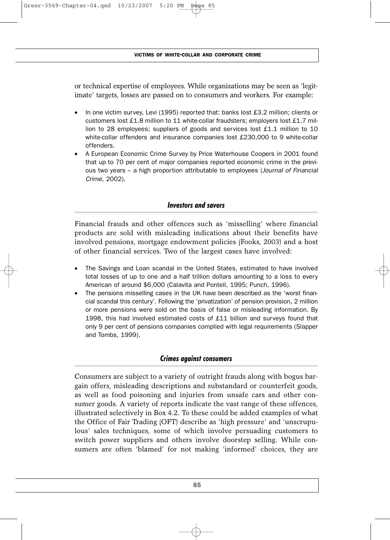or technical expertise of employees. While organizations may be seen as 'legitimate' targets, losses are passed on to consumers and workers. For example:

- In one victim survey, Levi (1995) reported that: banks lost  $£3.2$  million; clients or customers lost £1.8 million to 11 white-collar fraudsters; employers lost £1.7 million to 28 employees; suppliers of goods and services lost £1.1 million to 10 white-collar offenders and insurance companies lost £230,000 to 9 white-collar offenders.
- A European Economic Crime Survey by Price Waterhouse Coopers in 2001 found that up to 70 per cent of major companies reported economic crime in the previous two years – a high proportion attributable to employees (Journal of Financial Crime, 2002).

## *Investors and savers*

Financial frauds and other offences such as 'misselling' where financial products are sold with misleading indications about their benefits have involved pensions, mortgage endowment policies (Fooks, 2003) and a host of other financial services. Two of the largest cases have involved:

- The Savings and Loan scandal in the United States, estimated to have involved total losses of up to one and a half trillion dollars amounting to a loss to every American of around \$6,000 (Calavita and Pontell, 1995; Punch, 1996).
- The pensions misselling cases in the UK have been described as the 'worst financial scandal this century'. Following the 'privatization' of pension provision, 2 million or more pensions were sold on the basis of false or misleading information. By 1998, this had involved estimated costs of £11 billion and surveys found that only 9 per cent of pensions companies complied with legal requirements (Slapper and Tombs, 1999).

## *Crimes against consumers*

Consumers are subject to a variety of outright frauds along with bogus bargain offers, misleading descriptions and substandard or counterfeit goods, as well as food poisoning and injuries from unsafe cars and other consumer goods. A variety of reports indicate the vast range of these offences, illustrated selectively in Box 4.2. To these could be added examples of what the Office of Fair Trading (OFT) describe as 'high pressure' and 'unscrupulous' sales techniques, some of which involve persuading customers to switch power suppliers and others involve doorstep selling. While consumers are often 'blamed' for not making 'informed' choices, they are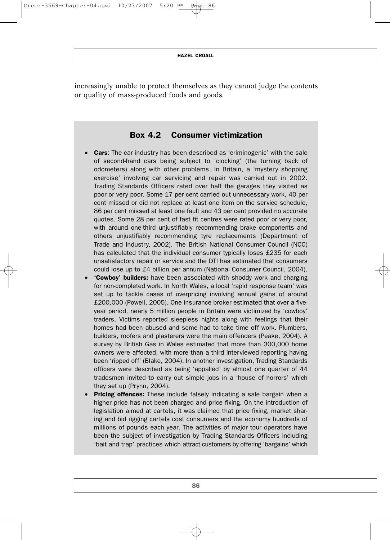increasingly unable to protect themselves as they cannot judge the contents or quality of mass-produced foods and goods.

# Box 4.2 Consumer victimization

- Cars: The car industry has been described as 'criminogenic' with the sale of second-hand cars being subject to 'clocking' (the turning back of odometers) along with other problems. In Britain, a 'mystery shopping exercise' involving car servicing and repair was carried out in 2002. Trading Standards Officers rated over half the garages they visited as poor or very poor. Some 17 per cent carried out unnecessary work, 40 per cent missed or did not replace at least one item on the service schedule, 86 per cent missed at least one fault and 43 per cent provided no accurate quotes. Some 28 per cent of fast fit centres were rated poor or very poor, with around one-third unjustifiably recommending brake components and others unjustifiably recommending tyre replacements (Department of Trade and Industry, 2002). The British National Consumer Council (NCC) has calculated that the individual consumer typically loses £235 for each unsatisfactory repair or service and the DTI has estimated that consumers could lose up to £4 billion per annum (National Consumer Council, 2004).
- **Cowboy' builders:** have been associated with shoddy work and charging for non-completed work. In North Wales, a local 'rapid response team' was set up to tackle cases of overpricing involving annual gains of around £200,000 (Powell, 2005). One insurance broker estimated that over a fiveyear period, nearly 5 million people in Britain were victimized by 'cowboy' traders. Victims reported sleepless nights along with feelings that their homes had been abused and some had to take time off work. Plumbers, builders, roofers and plasterers were the main offenders (Peake, 2004). A survey by British Gas in Wales estimated that more than 300,000 home owners were affected, with more than a third interviewed reporting having been 'ripped off' (Blake, 2004). In another investigation, Trading Standards officers were described as being 'appalled' by almost one quarter of 44 tradesmen invited to carry out simple jobs in a 'house of horrors' which they set up (Prynn, 2004).
- Pricing offences: These include falsely indicating a sale bargain when a higher price has not been charged and price fixing. On the introduction of legislation aimed at cartels, it was claimed that price fixing, market sharing and bid rigging cartels cost consumers and the economy hundreds of millions of pounds each year. The activities of major tour operators have been the subject of investigation by Trading Standards Officers including 'bait and trap' practices which attract customers by offering 'bargains' which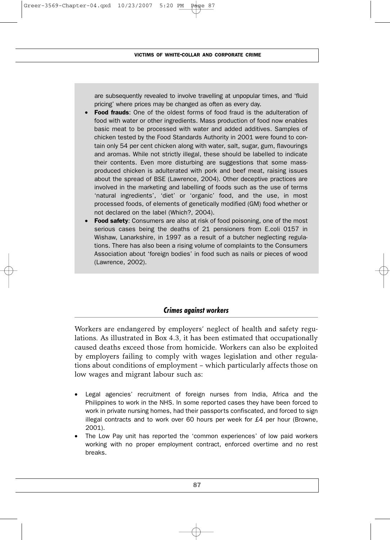are subsequently revealed to involve travelling at unpopular times, and 'fluid pricing' where prices may be changed as often as every day.

- Food frauds: One of the oldest forms of food fraud is the adulteration of food with water or other ingredients. Mass production of food now enables basic meat to be processed with water and added additives. Samples of chicken tested by the Food Standards Authority in 2001 were found to contain only 54 per cent chicken along with water, salt, sugar, gum, flavourings and aromas. While not strictly illegal, these should be labelled to indicate their contents. Even more disturbing are suggestions that some massproduced chicken is adulterated with pork and beef meat, raising issues about the spread of BSE (Lawrence, 2004). Other deceptive practices are involved in the marketing and labelling of foods such as the use of terms 'natural ingredients', 'diet' or 'organic' food, and the use, in most processed foods, of elements of genetically modified (GM) food whether or not declared on the label (Which?, 2004).
- **Food safety:** Consumers are also at risk of food poisoning, one of the most serious cases being the deaths of 21 pensioners from E.coli 0157 in Wishaw, Lanarkshire, in 1997 as a result of a butcher neglecting regulations. There has also been a rising volume of complaints to the Consumers Association about 'foreign bodies' in food such as nails or pieces of wood (Lawrence, 2002).

## *Crimes against workers*

Workers are endangered by employers' neglect of health and safety regulations. As illustrated in Box 4.3, it has been estimated that occupationally caused deaths exceed those from homicide. Workers can also be exploited by employers failing to comply with wages legislation and other regulations about conditions of employment – which particularly affects those on low wages and migrant labour such as:

- Legal agencies' recruitment of foreign nurses from India, Africa and the Philippines to work in the NHS. In some reported cases they have been forced to work in private nursing homes, had their passports confiscated, and forced to sign illegal contracts and to work over 60 hours per week for £4 per hour (Browne, 2001).
- The Low Pay unit has reported the 'common experiences' of low paid workers working with no proper employment contract, enforced overtime and no rest breaks.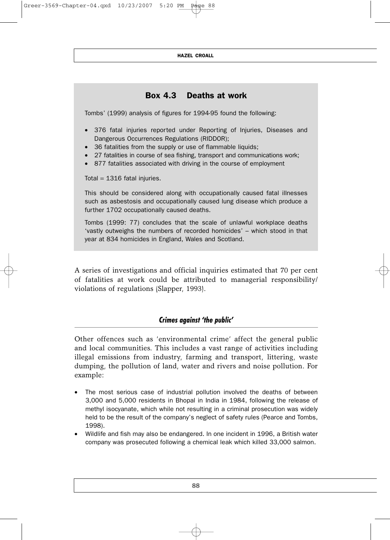# Box 4.3 Deaths at work

Tombs' (1999) analysis of figures for 1994-95 found the following:

- 376 fatal injuries reported under Reporting of Injuries, Diseases and Dangerous Occurrences Regulations (RIDDOR);
- 36 fatalities from the supply or use of flammable liquids;
- 27 fatalities in course of sea fishing, transport and communications work;
- 877 fatalities associated with driving in the course of employment

Total =  $1316$  fatal injuries.

This should be considered along with occupationally caused fatal illnesses such as asbestosis and occupationally caused lung disease which produce a further 1702 occupationally caused deaths.

Tombs (1999: 77) concludes that the scale of unlawful workplace deaths 'vastly outweighs the numbers of recorded homicides' – which stood in that year at 834 homicides in England, Wales and Scotland.

A series of investigations and official inquiries estimated that 70 per cent of fatalities at work could be attributed to managerial responsibility/ violations of regulations (Slapper, 1993).

# *Crimes against 'the public'*

Other offences such as 'environmental crime' affect the general public and local communities. This includes a vast range of activities including illegal emissions from industry, farming and transport, littering, waste dumping, the pollution of land, water and rivers and noise pollution. For example:

- The most serious case of industrial pollution involved the deaths of between 3,000 and 5,000 residents in Bhopal in India in 1984, following the release of methyl isocyanate, which while not resulting in a criminal prosecution was widely held to be the result of the company's neglect of safety rules (Pearce and Tombs, 1998).
- Wildlife and fish may also be endangered. In one incident in 1996, a British water company was prosecuted following a chemical leak which killed 33,000 salmon.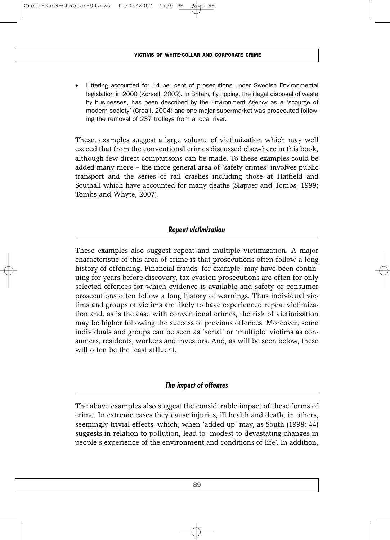• Littering accounted for 14 per cent of prosecutions under Swedish Environmental legislation in 2000 (Korsell, 2002). In Britain, fly tipping, the illegal disposal of waste by businesses, has been described by the Environment Agency as a 'scourge of modern society' (Croall, 2004) and one major supermarket was prosecuted following the removal of 237 trolleys from a local river.

These, examples suggest a large volume of victimization which may well exceed that from the conventional crimes discussed elsewhere in this book, although few direct comparisons can be made. To these examples could be added many more – the more general area of 'safety crimes' involves public transport and the series of rail crashes including those at Hatfield and Southall which have accounted for many deaths (Slapper and Tombs, 1999; Tombs and Whyte, 2007).

# *Repeat victimization*

These examples also suggest repeat and multiple victimization. A major characteristic of this area of crime is that prosecutions often follow a long history of offending. Financial frauds, for example, may have been continuing for years before discovery, tax evasion prosecutions are often for only selected offences for which evidence is available and safety or consumer prosecutions often follow a long history of warnings. Thus individual victims and groups of victims are likely to have experienced repeat victimization and, as is the case with conventional crimes, the risk of victimization may be higher following the success of previous offences. Moreover, some individuals and groups can be seen as 'serial' or 'multiple' victims as consumers, residents, workers and investors. And, as will be seen below, these will often be the least affluent.

## *The impact of offences*

The above examples also suggest the considerable impact of these forms of crime. In extreme cases they cause injuries, ill health and death, in others, seemingly trivial effects, which, when 'added up' may, as South (1998: 44) suggests in relation to pollution, lead to 'modest to devastating changes in people's experience of the environment and conditions of life'. In addition,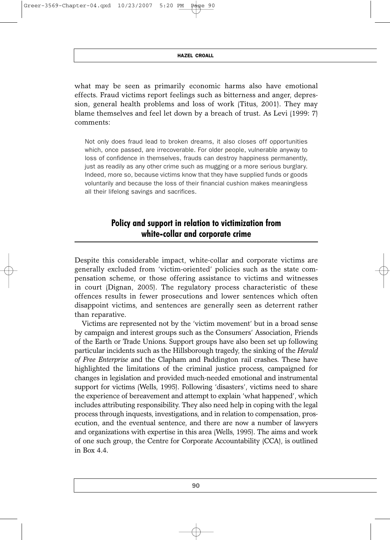what may be seen as primarily economic harms also have emotional effects. Fraud victims report feelings such as bitterness and anger, depression, general health problems and loss of work (Titus, 2001). They may blame themselves and feel let down by a breach of trust. As Levi (1999: 7) comments:

Not only does fraud lead to broken dreams, it also closes off opportunities which, once passed, are irrecoverable. For older people, vulnerable anyway to loss of confidence in themselves, frauds can destroy happiness permanently, just as readily as any other crime such as mugging or a more serious burglary. Indeed, more so, because victims know that they have supplied funds or goods voluntarily and because the loss of their financial cushion makes meaningless all their lifelong savings and sacrifices.

# **Policy and support in relation to victimization from white-collar and corporate crime**

Despite this considerable impact, white-collar and corporate victims are generally excluded from 'victim-oriented' policies such as the state compensation scheme, or those offering assistance to victims and witnesses in court (Dignan, 2005). The regulatory process characteristic of these offences results in fewer prosecutions and lower sentences which often disappoint victims, and sentences are generally seen as deterrent rather than reparative.

Victims are represented not by the 'victim movement' but in a broad sense by campaign and interest groups such as the Consumers' Association, Friends of the Earth or Trade Unions. Support groups have also been set up following particular incidents such as the Hillsborough tragedy, the sinking of the *Herald of Free Enterprise* and the Clapham and Paddington rail crashes. These have highlighted the limitations of the criminal justice process, campaigned for changes in legislation and provided much-needed emotional and instrumental support for victims (Wells, 1995). Following 'disasters', victims need to share the experience of bereavement and attempt to explain 'what happened', which includes attributing responsibility. They also need help in coping with the legal process through inquests, investigations, and in relation to compensation, prosecution, and the eventual sentence, and there are now a number of lawyers and organizations with expertise in this area (Wells, 1995). The aims and work of one such group, the Centre for Corporate Accountability (CCA), is outlined in Box 4.4.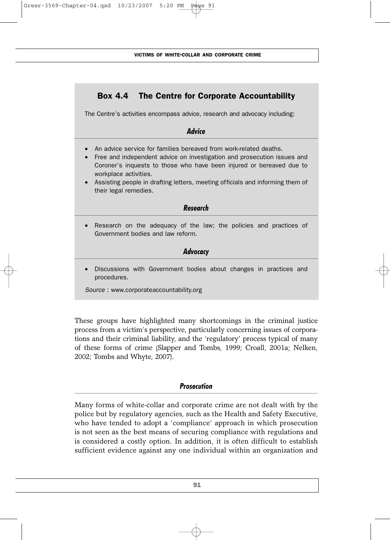# Box 4.4 The Centre for Corporate Accountability

The Centre's activities encompass advice, research and advocacy including:

#### *Advice*

- An advice service for families bereaved from work-related deaths.
- Free and independent advice on investigation and prosecution issues and Coroner's inquests to those who have been injured or bereaved due to workplace activities.
- Assisting people in drafting letters, meeting officials and informing them of their legal remedies.

#### *Research*

• Research on the adequacy of the law; the policies and practices of Government bodies and law reform.

#### *Advocacy*

• Discussions with Government bodies about changes in practices and procedures.

Source : www.corporateaccountability.org

These groups have highlighted many shortcomings in the criminal justice process from a victim's perspective, particularly concerning issues of corporations and their criminal liability, and the 'regulatory' process typical of many of these forms of crime (Slapper and Tombs, 1999; Croall, 2001a; Nelken, 2002; Tombs and Whyte, 2007).

#### *Prosecution*

Many forms of white-collar and corporate crime are not dealt with by the police but by regulatory agencies, such as the Health and Safety Executive, who have tended to adopt a 'compliance' approach in which prosecution is not seen as the best means of securing compliance with regulations and is considered a costly option. In addition, it is often difficult to establish sufficient evidence against any one individual within an organization and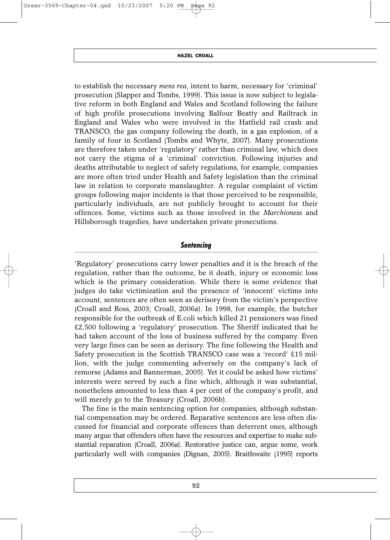to establish the necessary *mens rea*, intent to harm, necessary for 'criminal' prosecution (Slapper and Tombs, 1999). This issue is now subject to legislative reform in both England and Wales and Scotland following the failure of high profile prosecutions involving Balfour Beatty and Railtrack in England and Wales who were involved in the Hatfield rail crash and TRANSCO, the gas company following the death, in a gas explosion, of a family of four in Scotland (Tombs and Whyte, 2007). Many prosecutions are therefore taken under 'regulatory' rather than criminal law, which does not carry the stigma of a 'criminal' conviction. Following injuries and deaths attributable to neglect of safety regulations, for example, companies are more often tried under Health and Safety legislation than the criminal law in relation to corporate manslaughter. A regular complaint of victim groups following major incidents is that those perceived to be responsible, particularly individuals, are not publicly brought to account for their offences. Some, victims such as those involved in the *Marchioness* and Hillsborough tragedies, have undertaken private prosecutions.

#### *Sentencing*

'Regulatory' prosecutions carry lower penalties and it is the breach of the regulation, rather than the outcome, be it death, injury or economic loss which is the primary consideration. While there is some evidence that judges do take victimization and the presence of 'innocent' victims into account, sentences are often seen as derisory from the victim's perspective (Croall and Ross, 2003; Croall, 2006a). In 1998, for example, the butcher responsible for the outbreak of E.coli which killed 21 pensioners was fined £2,500 following a 'regulatory' prosecution. The Sheriff indicated that he had taken account of the loss of business suffered by the company. Even very large fines can be seen as derisory. The fine following the Health and Safety prosecution in the Scottish TRANSCO case was a 'record' £15 million, with the judge commenting adversely on the company's lack of remorse (Adams and Bannerman, 2005). Yet it could be asked how victims' interests were served by such a fine which, although it was substantial, nonetheless amounted to less than 4 per cent of the company's profit, and will merely go to the Treasury (Croall, 2006b).

The fine is the main sentencing option for companies, although substantial compensation may be ordered. Reparative sentences are less often discussed for financial and corporate offences than deterrent ones, although many argue that offenders often have the resources and expertise to make substantial reparation (Croall, 2006a). Restorative justice can, argue some, work particularly well with companies (Dignan, 2005). Braithwaite (1995) reports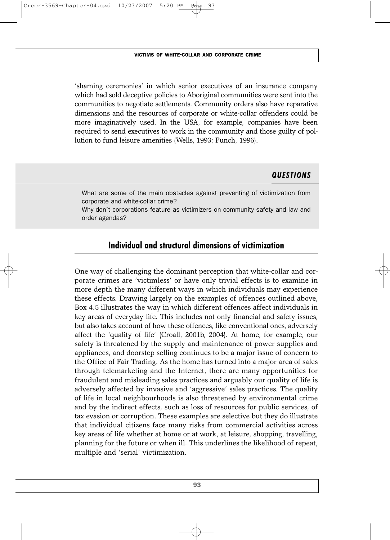'shaming ceremonies' in which senior executives of an insurance company which had sold deceptive policies to Aboriginal communities were sent into the communities to negotiate settlements. Community orders also have reparative dimensions and the resources of corporate or white-collar offenders could be more imaginatively used. In the USA, for example, companies have been required to send executives to work in the community and those guilty of pollution to fund leisure amenities (Wells, 1993; Punch, 1996).

# *QUESTIONS*

What are some of the main obstacles against preventing of victimization from corporate and white-collar crime?

Why don't corporations feature as victimizers on community safety and law and order agendas?

# **Individual and structural dimensions of victimization**

One way of challenging the dominant perception that white-collar and corporate crimes are 'victimless' or have only trivial effects is to examine in more depth the many different ways in which individuals may experience these effects. Drawing largely on the examples of offences outlined above, Box 4.5 illustrates the way in which different offences affect individuals in key areas of everyday life. This includes not only financial and safety issues, but also takes account of how these offences, like conventional ones, adversely affect the 'quality of life' (Croall, 2001b, 2004). At home, for example, our safety is threatened by the supply and maintenance of power supplies and appliances, and doorstep selling continues to be a major issue of concern to the Office of Fair Trading. As the home has turned into a major area of sales through telemarketing and the Internet, there are many opportunities for fraudulent and misleading sales practices and arguably our quality of life is adversely affected by invasive and 'aggressive' sales practices. The quality of life in local neighbourhoods is also threatened by environmental crime and by the indirect effects, such as loss of resources for public services, of tax evasion or corruption. These examples are selective but they do illustrate that individual citizens face many risks from commercial activities across key areas of life whether at home or at work, at leisure, shopping, travelling, planning for the future or when ill. This underlines the likelihood of repeat, multiple and 'serial' victimization.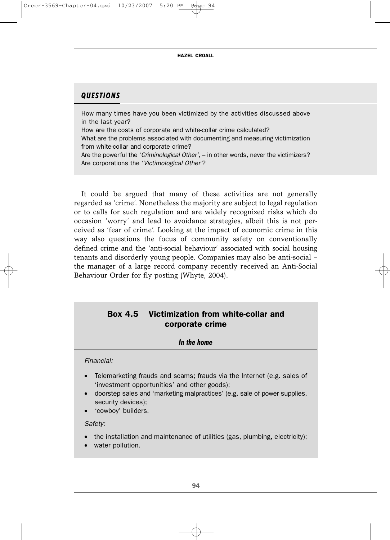# *QUESTIONS*

How many times have you been victimized by the activities discussed above in the last year?

How are the costs of corporate and white-collar crime calculated?

What are the problems associated with documenting and measuring victimization from white-collar and corporate crime?

Are the powerful the 'Criminological Other', - in other words, never the victimizers? Are corporations the 'Victimological Other'?

It could be argued that many of these activities are not generally regarded as 'crime'. Nonetheless the majority are subject to legal regulation or to calls for such regulation and are widely recognized risks which do occasion 'worry' and lead to avoidance strategies, albeit this is not perceived as 'fear of crime'. Looking at the impact of economic crime in this way also questions the focus of community safety on conventionally defined crime and the 'anti-social behaviour' associated with social housing tenants and disorderly young people. Companies may also be anti-social – the manager of a large record company recently received an Anti-Social Behaviour Order for fly posting (Whyte, 2004).

# Box 4.5 Victimization from white-collar and corporate crime

*In the home*

Financial:

- Telemarketing frauds and scams; frauds via the Internet (e.g. sales of 'investment opportunities' and other goods);
- doorstep sales and 'marketing malpractices' (e.g. sale of power supplies, security devices);
- 'cowboy' builders.

Safety:

- the installation and maintenance of utilities (gas, plumbing, electricity);
- water pollution.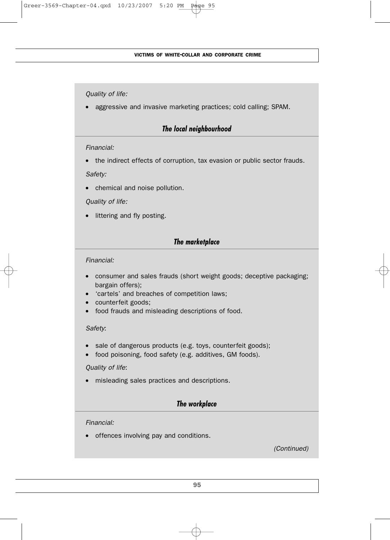#### Quality of life:

• aggressive and invasive marketing practices; cold calling; SPAM.

#### *The local neighbourhood*

#### Financial:

• the indirect effects of corruption, tax evasion or public sector frauds.

Safety:

• chemical and noise pollution.

#### Quality of life:

• littering and fly posting.

#### *The marketplace*

#### Financial:

- consumer and sales frauds (short weight goods; deceptive packaging; bargain offers);
- 'cartels' and breaches of competition laws;
- counterfeit goods;
- food frauds and misleading descriptions of food.

#### Safety:

- sale of dangerous products (e.g. toys, counterfeit goods);
- food poisoning, food safety (e.g. additives, GM foods).

#### Quality of life:

• misleading sales practices and descriptions.

## *The workplace*

#### Financial:

• offences involving pay and conditions.

(Continued)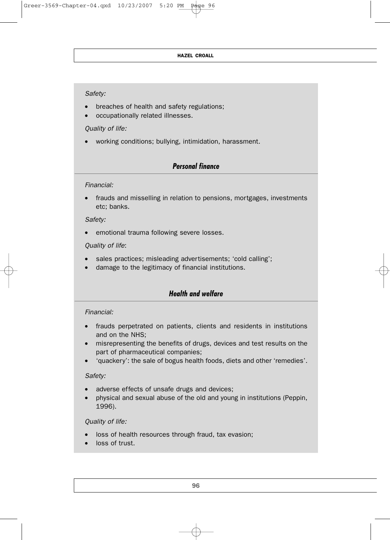#### Safety:

- breaches of health and safety regulations;
- occupationally related illnesses.

#### Quality of life:

• working conditions; bullying, intimidation, harassment.

# *Personal finance*

#### Financial:

• frauds and misselling in relation to pensions, mortgages, investments etc; banks.

#### Safety:

• emotional trauma following severe losses.

#### Quality of life:

- sales practices; misleading advertisements; 'cold calling';
- damage to the legitimacy of financial institutions.

# *Health and welfare*

#### Financial:

- frauds perpetrated on patients, clients and residents in institutions and on the NHS;
- misrepresenting the benefits of drugs, devices and test results on the part of pharmaceutical companies;
- 'quackery': the sale of bogus health foods, diets and other 'remedies'.

#### Safety:

- adverse effects of unsafe drugs and devices;
- physical and sexual abuse of the old and young in institutions (Peppin, 1996).

#### Quality of life:

- loss of health resources through fraud, tax evasion;
- loss of trust.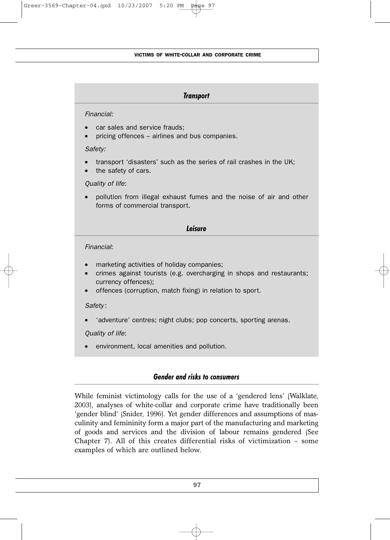#### *Transport*

#### Financial:

- car sales and service frauds:
- pricing offences airlines and bus companies.

#### Safety:

- transport 'disasters' such as the series of rail crashes in the UK;
- the safety of cars.

## Quality of life:

• pollution from illegal exhaust fumes and the noise of air and other forms of commercial transport.

## *Leisure*

## Financial:

- marketing activities of holiday companies;
- crimes against tourists (e.g. overcharging in shops and restaurants; currency offences);
- offences (corruption, match fixing) in relation to sport.

## Safety:

• 'adventure' centres; night clubs; pop concerts, sporting arenas.

## Quality of life:

• environment, local amenities and pollution.

## *Gender and risks to consumers*

While feminist victimology calls for the use of a 'gendered lens' (Walklate, 2003), analyses of white-collar and corporate crime have traditionally been 'gender blind' (Snider, 1996). Yet gender differences and assumptions of masculinity and femininity form a major part of the manufacturing and marketing of goods and services and the division of labour remains gendered (See Chapter 7). All of this creates differential risks of victimization – some examples of which are outlined below.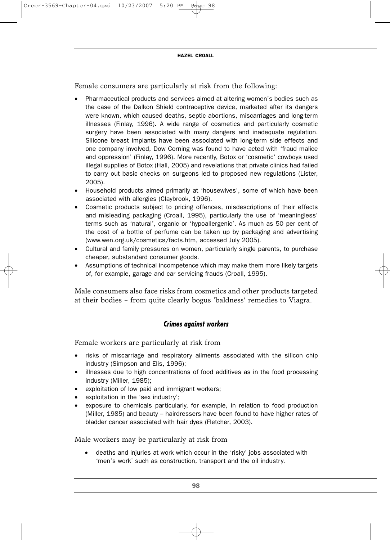Female consumers are particularly at risk from the following:

- Pharmaceutical products and services aimed at altering women's bodies such as the case of the Dalkon Shield contraceptive device, marketed after its dangers were known, which caused deaths, septic abortions, miscarriages and long-term illnesses (Finlay, 1996). A wide range of cosmetics and particularly cosmetic surgery have been associated with many dangers and inadequate regulation. Silicone breast implants have been associated with long-term side effects and one company involved, Dow Corning was found to have acted with 'fraud malice and oppression' (Finlay, 1996). More recently, Botox or 'cosmetic' cowboys used illegal supplies of Botox (Hall, 2005) and revelations that private clinics had failed to carry out basic checks on surgeons led to proposed new regulations (Lister, 2005).
- Household products aimed primarily at 'housewives', some of which have been associated with allergies (Claybrook, 1996).
- Cosmetic products subject to pricing offences, misdescriptions of their effects and misleading packaging (Croall, 1995), particularly the use of 'meaningless' terms such as 'natural', organic or 'hypoallergenic'. As much as 50 per cent of the cost of a bottle of perfume can be taken up by packaging and advertising (www.wen.org.uk/cosmetics/facts.htm, accessed July 2005).
- Cultural and family pressures on women, particularly single parents, to purchase cheaper, substandard consumer goods.
- Assumptions of technical incompetence which may make them more likely targets of, for example, garage and car servicing frauds (Croall, 1995).

Male consumers also face risks from cosmetics and other products targeted at their bodies – from quite clearly bogus 'baldness' remedies to Viagra.

## *Crimes against workers*

Female workers are particularly at risk from

- risks of miscarriage and respiratory ailments associated with the silicon chip industry (Simpson and Elis, 1996);
- illnesses due to high concentrations of food additives as in the food processing industry (Miller, 1985);
- exploitation of low paid and immigrant workers;
- exploitation in the 'sex industry';
- exposure to chemicals particularly, for example, in relation to food production (Miller, 1985) and beauty – hairdressers have been found to have higher rates of bladder cancer associated with hair dyes (Fletcher, 2003).

Male workers may be particularly at risk from

• deaths and injuries at work which occur in the 'risky' jobs associated with 'men's work' such as construction, transport and the oil industry.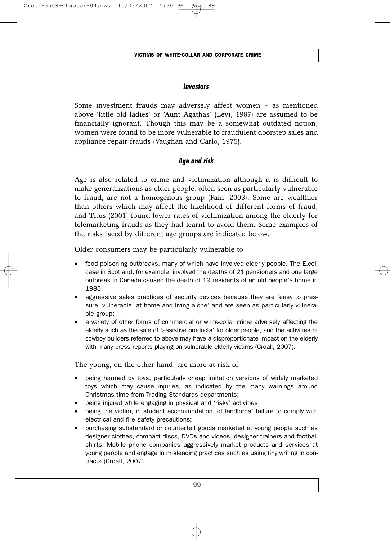#### *Investors*

Some investment frauds may adversely affect women – as mentioned above 'little old ladies' or 'Aunt Agathas' (Levi, 1987) are assumed to be financially ignorant. Though this may be a somewhat outdated notion, women were found to be more vulnerable to fraudulent doorstep sales and appliance repair frauds (Vaughan and Carlo, 1975).

# *Age and risk*

Age is also related to crime and victimization although it is difficult to make generalizations as older people, often seen as particularly vulnerable to fraud, are not a homogenous group (Pain, 2003). Some are wealthier than others which may affect the likelihood of different forms of fraud, and Titus (2001) found lower rates of victimization among the elderly for telemarketing frauds as they had learnt to avoid them. Some examples of the risks faced by different age groups are indicated below.

Older consumers may be particularly vulnerable to

- food poisoning outbreaks, many of which have involved elderly people. The E.coli case in Scotland, for example, involved the deaths of 21 pensioners and one large outbreak in Canada caused the death of 19 residents of an old people's home in 1985;
- aggressive sales practices of security devices because they are 'easy to pressure, vulnerable, at home and living alone' and are seen as particularly vulnerable group;
- a variety of other forms of commercial or white-collar crime adversely affecting the elderly such as the sale of 'assistive products' for older people, and the activities of cowboy builders referred to above may have a disproportionate impact on the elderly with many press reports playing on vulnerable elderly victims (Croall, 2007).

The young, on the other hand, are more at risk of

- being harmed by toys, particularly cheap imitation versions of widely marketed toys which may cause injuries, as indicated by the many warnings around Christmas time from Trading Standards departments;
- being injured while engaging in physical and 'risky' activities;
- being the victim, in student accommodation, of landlords' failure to comply with electrical and fire safety precautions;
- purchasing substandard or counterfeit goods marketed at young people such as designer clothes, compact discs, DVDs and videos, designer trainers and football shirts. Mobile phone companies aggressively market products and services at young people and engage in misleading practices such as using tiny writing in contracts (Croall, 2007).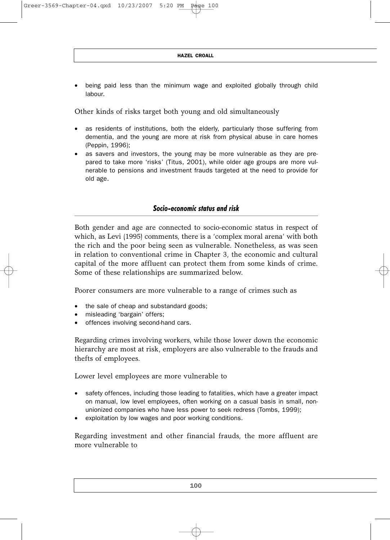• being paid less than the minimum wage and exploited globally through child labour.

Other kinds of risks target both young and old simultaneously

- as residents of institutions, both the elderly, particularly those suffering from dementia, and the young are more at risk from physical abuse in care homes (Peppin, 1996);
- as savers and investors, the young may be more vulnerable as they are prepared to take more 'risks' (Titus, 2001), while older age groups are more vulnerable to pensions and investment frauds targeted at the need to provide for old age.

## *Socio-economic status and risk*

Both gender and age are connected to socio-economic status in respect of which, as Levi (1995) comments, there is a 'complex moral arena' with both the rich and the poor being seen as vulnerable. Nonetheless, as was seen in relation to conventional crime in Chapter 3, the economic and cultural capital of the more affluent can protect them from some kinds of crime. Some of these relationships are summarized below.

Poorer consumers are more vulnerable to a range of crimes such as

- the sale of cheap and substandard goods;
- misleading 'bargain' offers;
- offences involving second-hand cars.

Regarding crimes involving workers, while those lower down the economic hierarchy are most at risk, employers are also vulnerable to the frauds and thefts of employees.

Lower level employees are more vulnerable to

- safety offences, including those leading to fatalities, which have a greater impact on manual, low level employees, often working on a casual basis in small, nonunionized companies who have less power to seek redress (Tombs, 1999);
- exploitation by low wages and poor working conditions.

Regarding investment and other financial frauds, the more affluent are more vulnerable to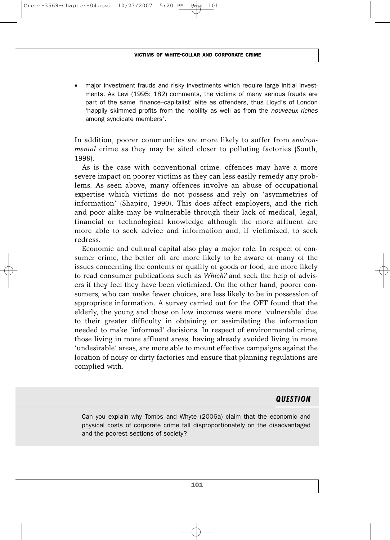• major investment frauds and risky investments which require large initial investments. As Levi (1995: 182) comments, the victims of many serious frauds are part of the same 'finance–capitalist' elite as offenders, thus Lloyd's of London 'happily skimmed profits from the nobility as well as from the nouveaux riches among syndicate members'.

In addition, poorer communities are more likely to suffer from *environmental* crime as they may be sited closer to polluting factories (South, 1998).

As is the case with conventional crime, offences may have a more severe impact on poorer victims as they can less easily remedy any problems. As seen above, many offences involve an abuse of occupational expertise which victims do not possess and rely on 'asymmetries of information' (Shapiro, 1990). This does affect employers, and the rich and poor alike may be vulnerable through their lack of medical, legal, financial or technological knowledge although the more affluent are more able to seek advice and information and, if victimized, to seek redress.

Economic and cultural capital also play a major role. In respect of consumer crime, the better off are more likely to be aware of many of the issues concerning the contents or quality of goods or food, are more likely to read consumer publications such as *Which?* and seek the help of advisers if they feel they have been victimized. On the other hand, poorer consumers, who can make fewer choices, are less likely to be in possession of appropriate information. A survey carried out for the OFT found that the elderly, the young and those on low incomes were more 'vulnerable' due to their greater difficulty in obtaining or assimilating the information needed to make 'informed' decisions. In respect of environmental crime, those living in more affluent areas, having already avoided living in more 'undesirable' areas, are more able to mount effective campaigns against the location of noisy or dirty factories and ensure that planning regulations are complied with.

#### *QUESTION*

Can you explain why Tombs and Whyte (2006a) claim that the economic and physical costs of corporate crime fall disproportionately on the disadvantaged and the poorest sections of society?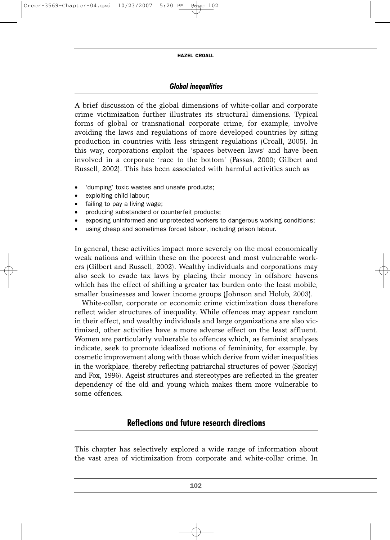## *Global inequalities*

A brief discussion of the global dimensions of white-collar and corporate crime victimization further illustrates its structural dimensions. Typical forms of global or transnational corporate crime, for example, involve avoiding the laws and regulations of more developed countries by siting production in countries with less stringent regulations (Croall, 2005). In this way, corporations exploit the 'spaces between laws' and have been involved in a corporate 'race to the bottom' (Passas, 2000; Gilbert and Russell, 2002). This has been associated with harmful activities such as

- 'dumping' toxic wastes and unsafe products;
- exploiting child labour;
- failing to pay a living wage;
- producing substandard or counterfeit products;
- exposing uninformed and unprotected workers to dangerous working conditions;
- using cheap and sometimes forced labour, including prison labour.

In general, these activities impact more severely on the most economically weak nations and within these on the poorest and most vulnerable workers (Gilbert and Russell, 2002). Wealthy individuals and corporations may also seek to evade tax laws by placing their money in offshore havens which has the effect of shifting a greater tax burden onto the least mobile, smaller businesses and lower income groups (Johnson and Holub, 2003).

White-collar, corporate or economic crime victimization does therefore reflect wider structures of inequality. While offences may appear random in their effect, and wealthy individuals and large organizations are also victimized, other activities have a more adverse effect on the least affluent. Women are particularly vulnerable to offences which, as feminist analyses indicate, seek to promote idealized notions of femininity, for example, by cosmetic improvement along with those which derive from wider inequalities in the workplace, thereby reflecting patriarchal structures of power (Szockyj and Fox, 1996). Ageist structures and stereotypes are reflected in the greater dependency of the old and young which makes them more vulnerable to some offences.

# **Reflections and future research directions**

This chapter has selectively explored a wide range of information about the vast area of victimization from corporate and white-collar crime. In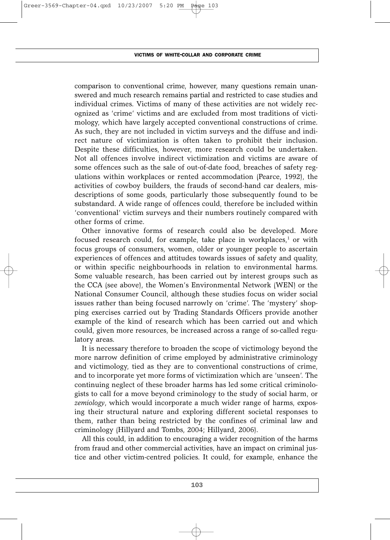comparison to conventional crime, however, many questions remain unanswered and much research remains partial and restricted to case studies and individual crimes. Victims of many of these activities are not widely recognized as 'crime' victims and are excluded from most traditions of victimology, which have largely accepted conventional constructions of crime. As such, they are not included in victim surveys and the diffuse and indirect nature of victimization is often taken to prohibit their inclusion. Despite these difficulties, however, more research could be undertaken. Not all offences involve indirect victimization and victims are aware of some offences such as the sale of out-of-date food, breaches of safety regulations within workplaces or rented accommodation (Pearce, 1992), the activities of cowboy builders, the frauds of second-hand car dealers, misdescriptions of some goods, particularly those subsequently found to be substandard. A wide range of offences could, therefore be included within 'conventional' victim surveys and their numbers routinely compared with other forms of crime.

Other innovative forms of research could also be developed. More focused research could, for example, take place in workplaces, $<sup>1</sup>$  or with</sup> focus groups of consumers, women, older or younger people to ascertain experiences of offences and attitudes towards issues of safety and quality, or within specific neighbourhoods in relation to environmental harms. Some valuable research, has been carried out by interest groups such as the CCA (see above), the Women's Environmental Network (WEN) or the National Consumer Council, although these studies focus on wider social issues rather than being focused narrowly on 'crime'. The 'mystery' shopping exercises carried out by Trading Standards Officers provide another example of the kind of research which has been carried out and which could, given more resources, be increased across a range of so-called regulatory areas.

It is necessary therefore to broaden the scope of victimology beyond the more narrow definition of crime employed by administrative criminology and victimology, tied as they are to conventional constructions of crime, and to incorporate yet more forms of victimization which are 'unseen'. The continuing neglect of these broader harms has led some critical criminologists to call for a move beyond criminology to the study of social harm, or *zemiology*, which would incorporate a much wider range of harms, exposing their structural nature and exploring different societal responses to them, rather than being restricted by the confines of criminal law and criminology (Hillyard and Tombs, 2004; Hillyard, 2006).

All this could, in addition to encouraging a wider recognition of the harms from fraud and other commercial activities, have an impact on criminal justice and other victim-centred policies. It could, for example, enhance the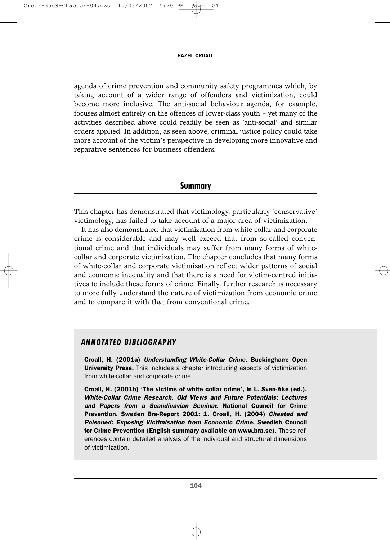agenda of crime prevention and community safety programmes which, by taking account of a wider range of offenders and victimization, could become more inclusive. The anti-social behaviour agenda, for example, focuses almost entirely on the offences of lower-class youth – yet many of the activities described above could readily be seen as 'anti-social' and similar orders applied. In addition, as seen above, criminal justice policy could take more account of the victim's perspective in developing more innovative and reparative sentences for business offenders.

#### **Summary**

This chapter has demonstrated that victimology, particularly 'conservative' victimology, has failed to take account of a major area of victimization.

It has also demonstrated that victimization from white-collar and corporate crime is considerable and may well exceed that from so-called conventional crime and that individuals may suffer from many forms of whitecollar and corporate victimization. The chapter concludes that many forms of white-collar and corporate victimization reflect wider patterns of social and economic inequality and that there is a need for victim-centred initiatives to include these forms of crime. Finally, further research is necessary to more fully understand the nature of victimization from economic crime and to compare it with that from conventional crime.

## *ANNOTATED BIBLIOGRAPHY*

Croall, H. (2001a) Understanding White-Collar Crime. Buckingham: Open University Press. This includes a chapter introducing aspects of victimization from white-collar and corporate crime.

Croall, H. (2001b) 'The victims of white collar crime', in L. Sven-Ake (ed.), White-Collar Crime Research. Old Views and Future Potentials: Lectures and Papers from a Scandinavian Seminar. National Council for Crime Prevention, Sweden Bra-Report 2001: 1. Croall, H. (2004) Cheated and Poisoned: Exposing Victimisation from Economic Crime. Swedish Council for Crime Prevention (English summary available on www.bra.se). These references contain detailed analysis of the individual and structural dimensions of victimization.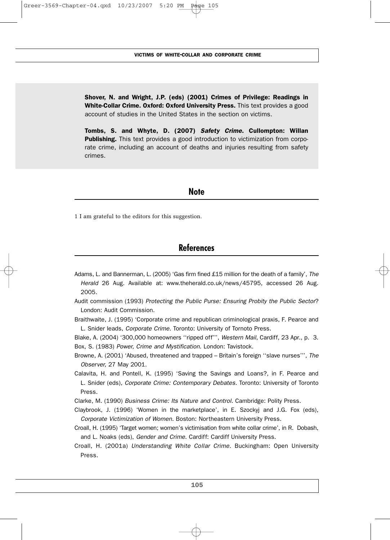Shover, N. and Wright, J.P. (eds) (2001) Crimes of Privilege: Readings in White-Collar Crime. Oxford: Oxford University Press. This text provides a good account of studies in the United States in the section on victims.

Tombs, S. and Whyte, D. (2007) Safety Crime. Cullompton: Willan **Publishing.** This text provides a good introduction to victimization from corporate crime, including an account of deaths and injuries resulting from safety crimes.

#### **Note**

1 I am grateful to the editors for this suggestion.

# **References**

Adams, L. and Bannerman, L. (2005) 'Gas firm fined £15 million for the death of a family', The Herald 26 Aug. Available at: www.theherald.co.uk/news/45795, accessed 26 Aug. 2005.

Audit commission (1993) Protecting the Public Purse: Ensuring Probity the Public Sector? London: Audit Commission.

Braithwaite, J. (1995) 'Corporate crime and republican criminological praxis, F. Pearce and L. Snider leads, Corporate Crime. Toronto: University of Tornoto Press.

Blake, A. (2004) '300,000 homeowners ''ripped off''', Western Mail, Cardiff, 23 Apr., p. 3. Box, S. (1983) Power, Crime and Mystification. London: Tavistock.

Browne, A. (2001) 'Abused, threatened and trapped – Britain's foreign ''slave nurses''', The Observer, 27 May 2001.

Calavita, H. and Pontell, K. (1995) 'Saving the Savings and Loans?, in F. Pearce and L. Snider (eds), Corporate Crime: Contemporary Debates. Toronto: University of Toronto Press.

Clarke, M. (1990) Business Crime: Its Nature and Control. Cambridge: Polity Press.

Claybrook, J. (1996) 'Women in the marketplace', in E. Szockyj and J.G. Fox (eds), Corporate Victimization of Women. Boston: Northeastern University Press.

Croall, H. (1995) 'Target women; women's victimisation from white collar crime', in R. Dobash, and L. Noaks (eds), Gender and Crime. Cardiff: Cardiff University Press.

Croall, H. (2001a) Understanding White Collar Crime. Buckingham: Open University Press.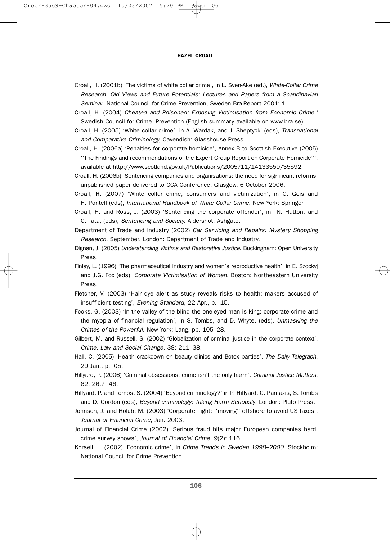- Croall, H. (2001b) 'The victims of white collar crime', in L. Sven-Ake (ed.), White-Collar Crime Research. Old Views and Future Potentials: Lectures and Papers from a Scandinavian Seminar. National Council for Crime Prevention, Sweden Bra-Report 2001: 1.
- Croall, H. (2004) Cheated and Poisoned: Exposing Victimisation from Economic Crime.' Swedish Council for Crime. Prevention (English summary available on www.bra.se).
- Croall, H. (2005) 'White collar crime', in A. Wardak, and J. Sheptycki (eds), Transnational and Comparative Criminology, Cavendish: Glasshouse Press.
- Croall, H. (2006a) 'Penalties for corporate homicide', Annex B to Scottish Executive (2005) ''The Findings and recommendations of the Expert Group Report on Corporate Homicide''', available at http://www.scotland.gov.uk/Publications/2005/11/14133559/35592.
- Croall, H. (2006b) 'Sentencing companies and organisations: the need for significant reforms' unpublished paper delivered to CCA Conference, Glasgow, 6 October 2006.
- Croall, H. (2007) 'White collar crime, consumers and victimization', in G. Geis and H. Pontell (eds), International Handbook of White Collar Crime. New York: Springer
- Croall, H. and Ross, J. (2003) 'Sentencing the corporate offender', in N. Hutton, and C. Tata, (eds), Sentencing and Society. Aldershot: Ashgate.
- Department of Trade and Industry (2002) Car Servicing and Repairs: Mystery Shopping Research, September. London: Department of Trade and Industry.
- Dignan, J. (2005) Understanding Victims and Restorative Justice. Buckingham: Open University Press.
- Finlay, L. (1996) 'The pharmaceutical industry and women's reproductive health', in E. Szockyj and J.G. Fox (eds), Corporate Victimisation of Women. Boston: Northeastern University Press.
- Fletcher, V. (2003) 'Hair dye alert as study reveals risks to health: makers accused of insufficient testing', Evening Standard, 22 Apr., p. 15.
- Fooks, G. (2003) 'In the valley of the blind the one-eyed man is king: corporate crime and the myopia of financial regulation', in S. Tombs, and D. Whyte, (eds), Unmasking the Crimes of the Powerful. New York: Lang, pp. 105–28.
- Gilbert, M. and Russell, S. (2002) 'Globalization of criminal justice in the corporate context', Crime, Law and Social Change, 38: 211–38.
- Hall, C. (2005) 'Health crackdown on beauty clinics and Botox parties', The Daily Telegraph, 29 Jan., p. 05.
- Hillyard, P. (2006) 'Criminal obsessions: crime isn't the only harm', Criminal Justice Matters, 62: 26.7, 46.
- Hillyard, P. and Tombs, S. (2004) 'Beyond criminology?' in P. Hillyard, C. Pantazis, S. Tombs and D. Gordon (eds), Beyond criminology: Taking Harm Seriously. London: Pluto Press.
- Johnson, J. and Holub, M. (2003) 'Corporate flight: ''moving'' offshore to avoid US taxes', Journal of Financial Crime, Jan. 2003.
- Journal of Financial Crime (2002) 'Serious fraud hits major European companies hard, crime survey shows', Journal of Financial Crime 9(2): 116.
- Korsell, L. (2002) 'Economic crime', in Crime Trends in Sweden 1998–2000. Stockholm: National Council for Crime Prevention.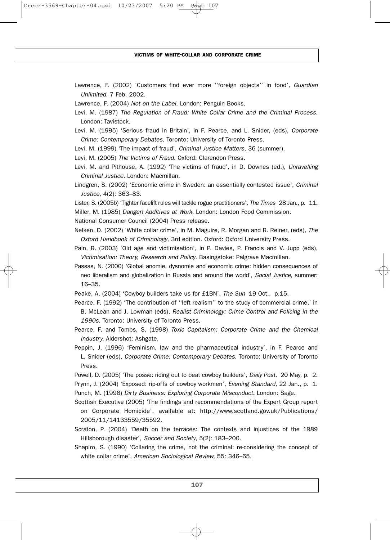- Lawrence, F. (2002) 'Customers find ever more "foreign objects" in food', Guardian Unlimited, 7 Feb. 2002.
- Lawrence, F. (2004) Not on the Label. London: Penguin Books.
- Levi, M. (1987) The Regulation of Fraud: White Collar Crime and the Criminal Process. London: Tavistock.
- Levi, M. (1995) 'Serious fraud in Britain', in F. Pearce, and L. Snider, (eds), Corporate Crime: Contemporary Debates. Toronto: University of Toronto Press.
- Levi, M. (1999) 'The impact of fraud', Criminal Justice Matters, 36 (summer).
- Levi, M. (2005) The Victims of Fraud. Oxford: Clarendon Press.
- Levi, M. and Pithouse, A. (1992) 'The victims of fraud', in D. Downes (ed.), Unravelling Criminal Justice. London: Macmillan.
- Lindgren, S. (2002) 'Economic crime in Sweden: an essentially contested issue', Criminal Justice, 4(2): 363–83.
- Lister, S. (2005b) 'Tighter facelift rules will tackle rogue practitioners', The Times 28 Jan., p. 11.

Miller, M. (1985) Danger! Additives at Work. London: London Food Commission.

National Consumer Council (2004) Press release.

- Nelken, D. (2002) 'White collar crime', in M. Maguire, R. Morgan and R. Reiner, (eds), The Oxford Handbook of Criminology, 3rd edition. Oxford: Oxford University Press.
- Pain, R. (2003) 'Old age and victimisation', in P. Davies, P. Francis and V. Jupp (eds), Victimisation: Theory, Research and Policy. Basingstoke: Palgrave Macmillan.
- Passas, N. (2000) 'Global anomie, dysnomie and economic crime: hidden consequences of neo liberalism and globalization in Russia and around the world', Social Justice, summer: 16–35.
- Peake, A. (2004) 'Cowboy builders take us for £1BN', The Sun 19 Oct., p.15.
- Pearce, F. (1992) 'The contribution of ''left realism'' to the study of commercial crime,' in B. McLean and J. Lowman (eds), Realist Criminology: Crime Control and Policing in the 1990s. Toronto: University of Toronto Press.
- Pearce, F. and Tombs, S. (1998) Toxic Capitalism: Corporate Crime and the Chemical Industry. Aldershot: Ashgate.
- Peppin, J. (1996) 'Feminism, law and the pharmaceutical industry', in F. Pearce and L. Snider (eds), Corporate Crime: Contemporary Debates. Toronto: University of Toronto Press.
- Powell, D. (2005) 'The posse: riding out to beat cowboy builders', Daily Post, 20 May, p. 2.

Prynn, J. (2004) 'Exposed: rip-offs of cowboy workmen', Evening Standard, 22 Jan., p. 1. Punch, M. (1996) Dirty Business: Exploring Corporate Misconduct. London: Sage.

- Scottish Executive (2005) 'The findings and recommendations of the Expert Group report on Corporate Homicide', available at: http://www.scotland.gov.uk/Publications/ 2005/11/14133559/35592.
- Scraton, P. (2004) 'Death on the terraces: The contexts and injustices of the 1989 Hillsborough disaster', Soccer and Society, 5(2): 183–200.
- Shapiro, S. (1990) 'Collaring the crime, not the criminal: re-considering the concept of white collar crime', American Sociological Review, 55: 346–65.